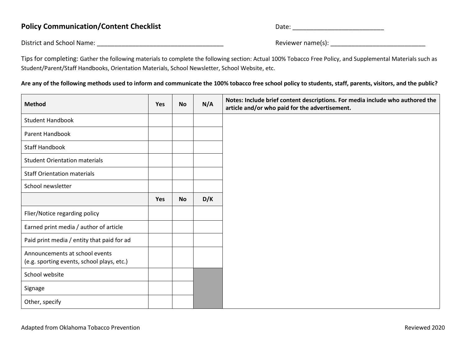## Policy Communication/Content Checklist **Date:** Date: <u>Date:</u> 2014

District and School Name: \_\_\_\_\_\_\_\_\_\_\_\_\_\_\_\_\_\_\_\_\_\_\_\_\_\_\_\_\_\_\_\_\_\_\_\_ Reviewer name(s): \_\_\_\_\_\_\_\_\_\_\_\_\_\_\_\_\_\_\_\_\_\_\_\_\_\_\_

Tips for completing: Gather the following materials to complete the following section: Actual 100% Tobacco Free Policy, and Supplemental Materials such as Student/Parent/Staff Handbooks, Orientation Materials, School Newsletter, School Website, etc.

**Are any of the following methods used to inform and communicate the 100% tobacco free school policy to students, staff, parents, visitors, and the public?**

| <b>Method</b>                                                                | Yes | <b>No</b> | N/A | Notes: Include brief content descriptions. For media include who authored the<br>article and/or who paid for the advertisement. |
|------------------------------------------------------------------------------|-----|-----------|-----|---------------------------------------------------------------------------------------------------------------------------------|
| <b>Student Handbook</b>                                                      |     |           |     |                                                                                                                                 |
| <b>Parent Handbook</b>                                                       |     |           |     |                                                                                                                                 |
| <b>Staff Handbook</b>                                                        |     |           |     |                                                                                                                                 |
| <b>Student Orientation materials</b>                                         |     |           |     |                                                                                                                                 |
| <b>Staff Orientation materials</b>                                           |     |           |     |                                                                                                                                 |
| School newsletter                                                            |     |           |     |                                                                                                                                 |
|                                                                              | Yes | <b>No</b> | D/K |                                                                                                                                 |
| Flier/Notice regarding policy                                                |     |           |     |                                                                                                                                 |
| Earned print media / author of article                                       |     |           |     |                                                                                                                                 |
| Paid print media / entity that paid for ad                                   |     |           |     |                                                                                                                                 |
| Announcements at school events<br>(e.g. sporting events, school plays, etc.) |     |           |     |                                                                                                                                 |
| School website                                                               |     |           |     |                                                                                                                                 |
| Signage                                                                      |     |           |     |                                                                                                                                 |
| Other, specify                                                               |     |           |     |                                                                                                                                 |